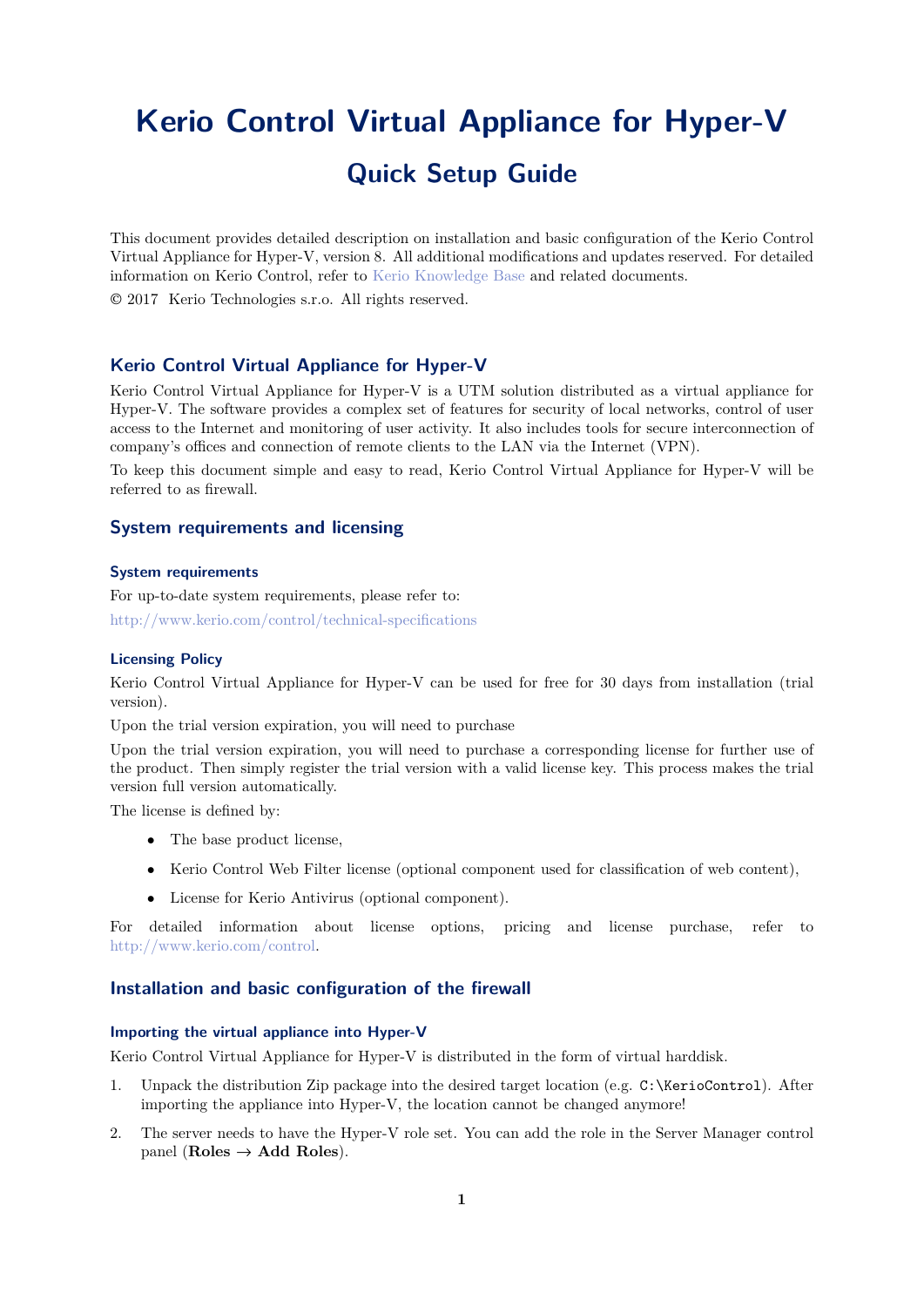# <span id="page-0-0"></span>**Kerio Control Virtual Appliance for Hyper-V Quick Setup Guide**

This document provides detailed description on installation and basic configuration of the Kerio Control Virtual Appliance for Hyper-V, version 8. All additional modifications and updates reserved. For detailed information on Kerio Control, refer to [Kerio Knowledge Base](http://kb.kerio.com/category/kerio-control/pdf-documentation-kerio-control/) and related documents.

2017 Kerio Technologies s.r.o. All rights reserved.

# **Kerio Control Virtual Appliance for Hyper-V**

Kerio Control Virtual Appliance for Hyper-V is a UTM solution distributed as a virtual appliance for Hyper-V. The software provides a complex set of features for security of local networks, control of user access to the Internet and monitoring of user activity. It also includes tools for secure interconnection of company's offices and connection of remote clients to the LAN via the Internet (VPN).

To keep this document simple and easy to read, Kerio Control Virtual Appliance for Hyper-V will be referred to as firewall.

## **System requirements and licensing**

## **System requirements**

For up-to-date system requirements, please refer to: <http://www.kerio.com/control/technical-specifications>

#### **Licensing Policy**

Kerio Control Virtual Appliance for Hyper-V can be used for free for 30 days from installation (trial version).

Upon the trial version expiration, you will need to purchase

Upon the trial version expiration, you will need to purchase a corresponding license for further use of the product. Then simply register the trial version with a valid license key. This process makes the trial version full version automatically.

The license is defined by:

- The base product license,
- Kerio Control Web Filter license (optional component used for classification of web content),
- License for Kerio Antivirus (optional component).

For detailed information about license options, pricing and license purchase, refer to <http://www.kerio.com/control>.

### **Installation and basic configuration of the firewall**

#### **Importing the virtual appliance into Hyper-V**

Kerio Control Virtual Appliance for Hyper-V is distributed in the form of virtual harddisk.

- 1. Unpack the distribution Zip package into the desired target location (e.g. C:\KerioControl). After importing the appliance into Hyper-V, the location cannot be changed anymore!
- 2. The server needs to have the Hyper-V role set. You can add the role in the Server Manager control panel (**Roles** → **Add Roles**).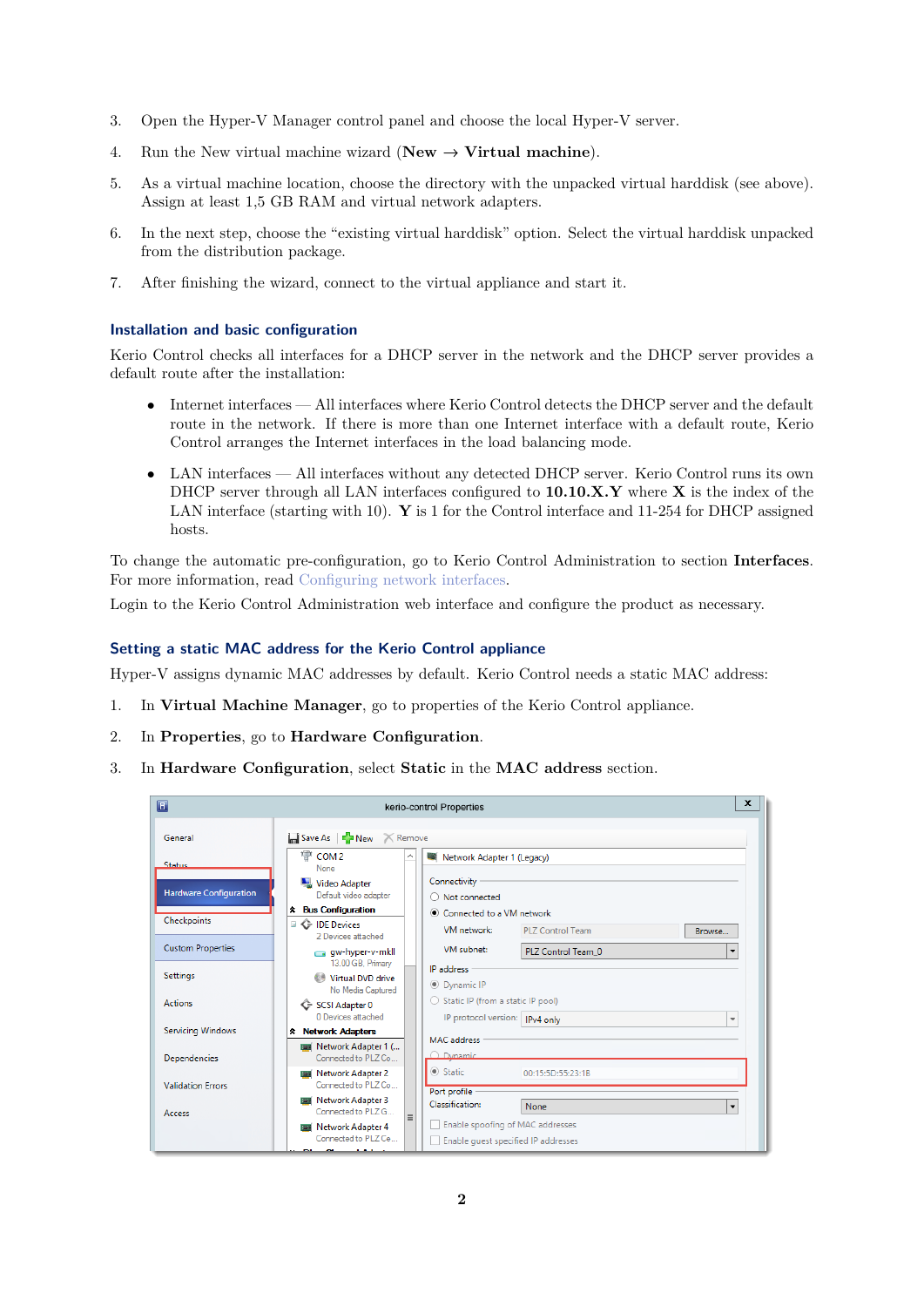- 3. Open the Hyper-V Manager control panel and choose the local Hyper-V server.
- 4. Run the New virtual machine wizard ( $New \rightarrow Virtual$  machine).
- 5. As a virtual machine location, choose the directory with the unpacked virtual harddisk (see above). Assign at least 1,5 GB RAM and virtual network adapters.
- 6. In the next step, choose the "existing virtual harddisk" option. Select the virtual harddisk unpacked from the distribution package.
- 7. After finishing the wizard, connect to the virtual appliance and start it.

#### **Installation and basic configuration**

Kerio Control checks all interfaces for a DHCP server in the network and the DHCP server provides a default route after the installation:

- Internet interfaces All interfaces where Kerio Control detects the DHCP server and the default route in the network. If there is more than one Internet interface with a default route, Kerio Control arranges the Internet interfaces in the load balancing mode.
- LAN interfaces All interfaces without any detected DHCP server. Kerio Control runs its own DHCP server through all LAN interfaces configured to **10.10.X.Y** where **X** is the index of the LAN interface (starting with 10). **Y** is 1 for the Control interface and 11-254 for DHCP assigned hosts.

To change the automatic pre-configuration, go to Kerio Control Administration to section **Interfaces**. For more information, read [Configuring network interfaces.](http://kb.kerio.com/1333)

Login to the Kerio Control Administration web interface and configure the product as necessary.

#### **Setting a static MAC address for the Kerio Control appliance**

Hyper-V assigns dynamic MAC addresses by default. Kerio Control needs a static MAC address:

- 1. In **Virtual Machine Manager**, go to properties of the Kerio Control appliance.
- 2. In **Properties**, go to **Hardware Configuration**.
- 3. In **Hardware Configuration**, select **Static** in the **MAC address** section.

| $\blacksquare$                |                                                             | $\mathbf{x}$<br>kerio-control Properties                                                            |
|-------------------------------|-------------------------------------------------------------|-----------------------------------------------------------------------------------------------------|
| General                       | Save As FINew Remove                                        |                                                                                                     |
| Status.                       | COM <sub>2</sub><br>None                                    | Network Adapter 1 (Legacy)                                                                          |
| <b>Hardware Configuration</b> | Video Adapter<br>Default video adapter                      | Connectivity<br>$\bigcirc$ Not connected                                                            |
|                               | <b>*</b> Bus Configuration                                  | ● Connected to a VM network                                                                         |
| Checkpoints                   | <b>E C</b> IDE Devices<br>2 Devices attached                | VM network:<br>PLZ Control Team<br>Browse                                                           |
| <b>Custom Properties</b>      | gw-hyper-v-mkll                                             | VM subnet:<br>PLZ Control Team_0<br>$\cdot$                                                         |
| <b>Settings</b>               | 13.00 GB. Primary<br>Virtual DVD drive<br>No Media Captured | IP address.<br><b>O</b> Dynamic IP                                                                  |
| <b>Actions</b>                | G SCSI Adapter 0<br>0 Devices attached                      | ○ Static IP (from a static IP pool)<br>IP protocol version:   IPv4 only<br>$\overline{\phantom{a}}$ |
| <b>Servicing Windows</b>      | <b>*</b> Network Adapters                                   | <b>MAC</b> address                                                                                  |
| Dependencies                  | <b>BEE</b> Network Adapter 1 (<br>Connected to PLZ Co       | O Dynamic                                                                                           |
| <b>Validation Frrors</b>      | <b>Base</b> Network Adapter 2<br>Connected to PLZ Co        | Static<br>00:15:5D:55:23:1B<br>Port profile                                                         |
| Access                        | <b>Network Adapter 3</b><br>Connected to PLZ G<br>$\equiv$  | Classification:<br>None<br>$\overline{\phantom{a}}$                                                 |
|                               | <b>Ba</b> Network Adapter 4<br>Connected to PLZ Ce          | Enable spoofing of MAC addresses<br>Enable quest specified IP addresses                             |